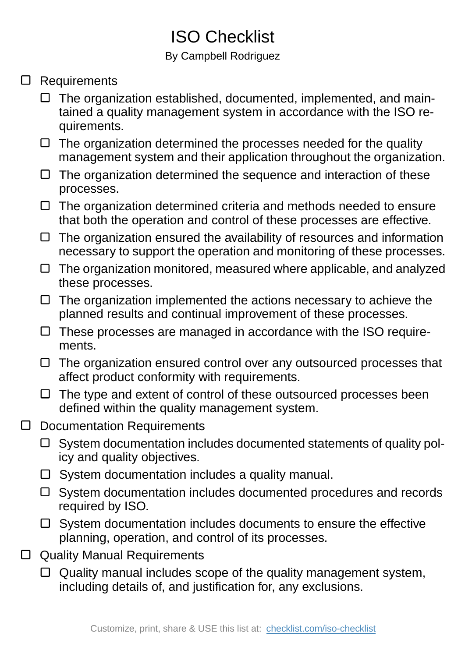## ISO Checklist

## By Campbell Rodriguez

- Requirements
	- $\Box$  The organization established, documented, implemented, and maintained a quality management system in accordance with the ISO requirements.
	- $\Box$  The organization determined the processes needed for the quality management system and their application throughout the organization.
	- $\Box$  The organization determined the sequence and interaction of these processes.
	- $\Box$  The organization determined criteria and methods needed to ensure that both the operation and control of these processes are effective.
	- $\Box$  The organization ensured the availability of resources and information necessary to support the operation and monitoring of these processes.
	- $\Box$  The organization monitored, measured where applicable, and analyzed these processes.
	- $\Box$  The organization implemented the actions necessary to achieve the planned results and continual improvement of these processes.
	- $\Box$  These processes are managed in accordance with the ISO requirements.
	- $\Box$  The organization ensured control over any outsourced processes that affect product conformity with requirements.
	- $\Box$  The type and extent of control of these outsourced processes been defined within the quality management system.
- Documentation Requirements  $\Box$ 
	- $\Box$  System documentation includes documented statements of quality policy and quality objectives.
	- $\square$  System documentation includes a quality manual.
	- □ System documentation includes documented procedures and records required by ISO.
	- $\square$  System documentation includes documents to ensure the effective planning, operation, and control of its processes.
- □ Quality Manual Requirements
	- Quality manual includes scope of the quality management system, including details of, and justification for, any exclusions.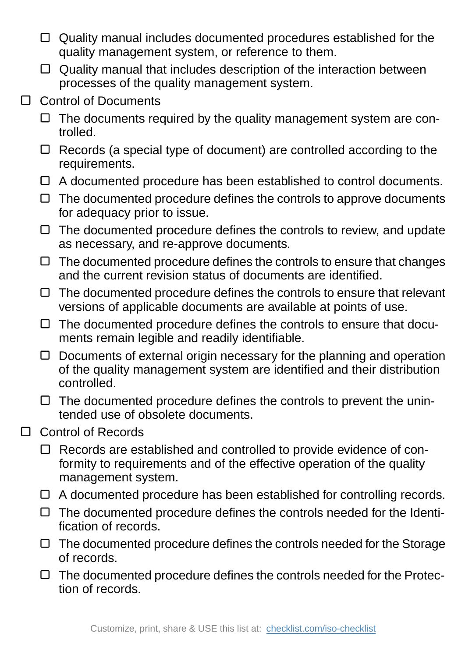- $\Box$  Quality manual includes documented procedures established for the quality management system, or reference to them.
- $\Box$  Quality manual that includes description of the interaction between processes of the quality management system.
- Control of Documents  $\Box$ 
	- $\Box$  The documents required by the quality management system are controlled.
	- $\Box$  Records (a special type of document) are controlled according to the requirements.
	- $\Box$  A documented procedure has been established to control documents.
	- $\Box$  The documented procedure defines the controls to approve documents for adequacy prior to issue.
	- $\Box$  The documented procedure defines the controls to review, and update as necessary, and re-approve documents.
	- $\Box$  The documented procedure defines the controls to ensure that changes and the current revision status of documents are identified.
	- $\Box$  The documented procedure defines the controls to ensure that relevant versions of applicable documents are available at points of use.
	- $\Box$  The documented procedure defines the controls to ensure that documents remain legible and readily identifiable.
	- $\Box$  Documents of external origin necessary for the planning and operation of the quality management system are identified and their distribution controlled.
	- $\Box$  The documented procedure defines the controls to prevent the unintended use of obsolete documents.
- Control of Records  $\Box$ 
	- Records are established and controlled to provide evidence of con- $\Box$ formity to requirements and of the effective operation of the quality management system.
	- $\Box$  A documented procedure has been established for controlling records.
	- $\Box$  The documented procedure defines the controls needed for the Identification of records.
	- $\Box$  The documented procedure defines the controls needed for the Storage of records.
	- $\Box$  The documented procedure defines the controls needed for the Protection of records.